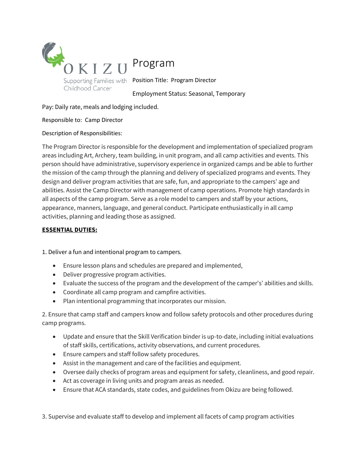

Pay: Daily rate, meals and lodging included.

### Responsible to: Camp Director

# Description of Responsibilities:

The Program Director is responsible for the development and implementation of specialized program areas including Art, Archery, team building, in unit program, and all camp activities and events. This person should have administrative, supervisory experience in organized camps and be able to further the mission of the camp through the planning and delivery of specialized programs and events. They design and deliver program activities that are safe, fun, and appropriate to the campers' age and abilities. Assist the Camp Director with management of camp operations. Promote high standards in all aspects of the camp program. Serve as a role model to campers and staff by your actions, appearance, manners, language, and general conduct. Participate enthusiastically in all camp activities, planning and leading those as assigned.

## **ESSENTIAL DUTIES:**

1. Deliver a fun and intentional program to campers.

- Ensure lesson plans and schedules are prepared and implemented,
- Deliver progressive program activities.
- Evaluate the success of the program and the development of the camper's' abilities and skills.
- Coordinate all camp program and campfire activities.
- Plan intentional programming that incorporates our mission.

2. Ensure that camp staff and campers know and follow safety protocols and other procedures during camp programs.

- Update and ensure that the Skill Verification binder is up-to-date, including initial evaluations of staff skills, certifications, activity observations, and current procedures.
- Ensure campers and staff follow safety procedures.
- Assist in the management and care of the facilities and equipment.
- Oversee daily checks of program areas and equipment for safety, cleanliness, and good repair.
- Act as coverage in living units and program areas as needed.
- Ensure that ACA standards, state codes, and guidelines from Okizu are being followed.

3. Supervise and evaluate staff to develop and implement all facets of camp program activities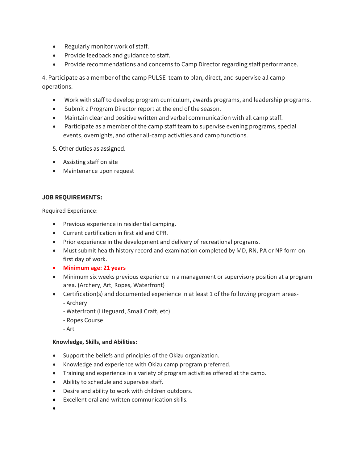- Regularly monitor work of staff.
- Provide feedback and guidance to staff.
- Provide recommendations and concerns to Camp Director regarding staff performance.

4. Participate as a member of the camp PULSE team to plan, direct, and supervise all camp operations.

- Work with staff to develop program curriculum, awards programs, and leadership programs.
- Submit a Program Director report at the end of the season.
- Maintain clear and positive written and verbal communication with all camp staff.
- Participate as a member of the camp staff team to supervise evening programs, special events, overnights, and other all-camp activities and camp functions.
- 5. Other duties as assigned.
- Assisting staff on site
- Maintenance upon request

### **JOB REQUIREMENTS:**

Required Experience:

- Previous experience in residential camping.
- Current certification in first aid and CPR.
- Prior experience in the development and delivery of recreational programs.
- Must submit health history record and examination completed by MD, RN, PA or NP form on first day of work.
- **Minimum age: 21 years**
- Minimum six weeks previous experience in a management or supervisory position at a program area. (Archery, Art, Ropes, Waterfront)
- Certification(s) and documented experience in at least 1 of the following program areas- - Archery
	- Waterfront (Lifeguard, Small Craft, etc)
	- Ropes Course
	- Art

#### **Knowledge, Skills, and Abilities:**

- Support the beliefs and principles of the Okizu organization.
- Knowledge and experience with Okizu camp program preferred.
- Training and experience in a variety of program activities offered at the camp.
- Ability to schedule and supervise staff.
- Desire and ability to work with children outdoors.
- Excellent oral and written communication skills.
- •